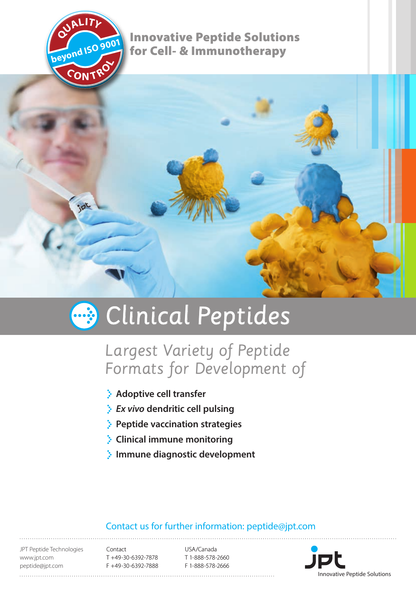

Innovative Peptide Solutions for Cell- & Immunotherapy



# **B** Clinical Peptides

## Largest Variety of Peptide Formats for Development of

- **Adoptive cell transfer**
- *Ex vivo* **dendritic cell pulsing**
- **Peptide vaccination strategies**
- **Clinical immune monitoring**
- **Immune diagnostic development**

#### Contact us for further information: peptide@jpt.com

JPT Peptide Technologies www.jpt.com peptide@jpt.com

Contact T +49-30-6392-7878 F +49-30-6392-7888

USA/Canada T 1-888-578-2660 F 1-888-578-2666